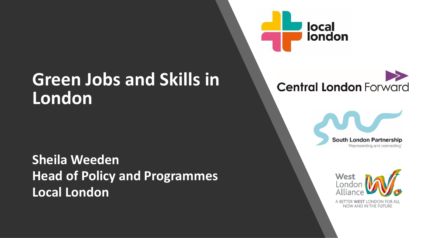### **Green Jobs and Skills in London**

**Sheila Weeden Head of Policy and Programmes Local London**







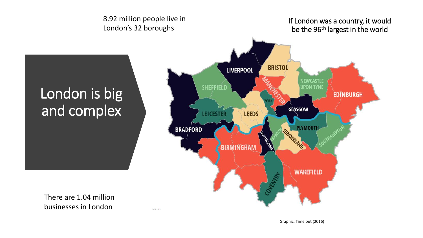

 $\overline{\phantom{a}}$ 

There are 1.04 million businesses in London

Graphic: Time out (2016)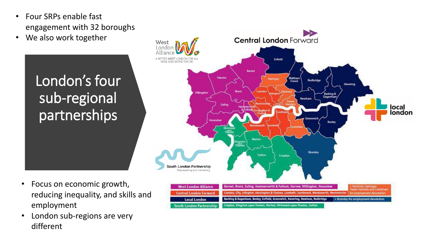- Four SRPs enable fast engagement with 32 boroughs
- We also work together

London's four sub-regional partnerships

- **Central London Forward** West A BETTER WEST LONDON FOR ALL<br>NOW AND IN THE FUTURE Enfield **Barnet** Harrow Waltham<br>Forest Haringey Redbridge Havering **Hillingdon Barking &** Dagenhar Newham local london **Bexley** Merton **Bromley** Sutton Croydon South London Partnership 'Representing and connecting **West London Alliance** Barnet, Brent, Ealing, Hammersmith & Fulham, Harrow, Hillingdon, Hounslow Hackney, Haringer **Central London Forward** Camden, City, Islington, Kensington & Chelsea, Lambeth, Southwark, Wandsworth Westminste Barking & Dagenham, Bexley, Enfield, Greenwich, Havering, Newham, Redbridge + Bromley for employment devolution **Local London** Croydon, Kingston upon Thames, Merton, Richmond upon Thames, Suttor South London Partnership
- Focus on economic growth, reducing inequality, and skills and employment
- London sub-regions are very different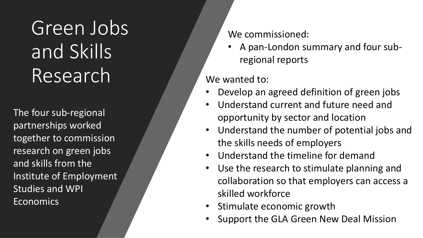Green Jobs and Skills Research

The four sub-regional partnerships worked together to commission research on green jobs and skills from the Institute of Employment Studies and WPI **Economics** 

We commissioned:

• A pan-London summary and four subregional reports

#### We wanted to:

- Develop an agreed definition of green jobs
- Understand current and future need and opportunity by sector and location
- Understand the number of potential jobs and the skills needs of employers
- Understand the timeline for demand
- Use the research to stimulate planning and collaboration so that employers can access a skilled workforce
- Stimulate economic growth
- Support the GLA Green New Deal Mission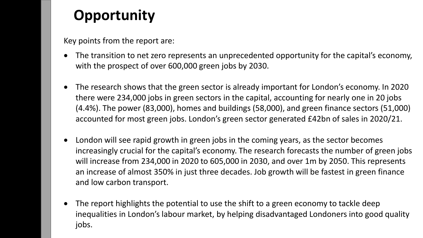### **Opportunity**

Key points from the report are:

- The transition to net zero represents an unprecedented opportunity for the capital's economy, with the prospect of over 600,000 green jobs by 2030.
- The research shows that the green sector is already important for London's economy. In 2020 there were 234,000 jobs in green sectors in the capital, accounting for nearly one in 20 jobs (4.4%). The power (83,000), homes and buildings (58,000), and green finance sectors (51,000) accounted for most green jobs. London's green sector generated £42bn of sales in 2020/21.
- London will see rapid growth in green jobs in the coming years, as the sector becomes increasingly crucial for the capital's economy. The research forecasts the number of green jobs will increase from 234,000 in 2020 to 605,000 in 2030, and over 1m by 2050. This represents an increase of almost 350% in just three decades. Job growth will be fastest in green finance and low carbon transport.
- The report highlights the potential to use the shift to a green economy to tackle deep inequalities in London's labour market, by helping disadvantaged Londoners into good quality jobs.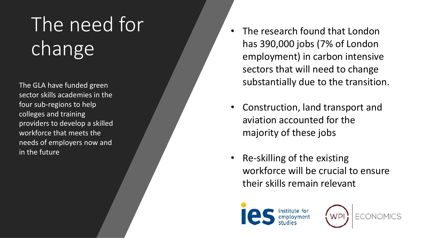# The need for change

The GLA have funded green sector skills academies in the four sub -regions to help colleges and training providers to develop a skilled workforce that meets the needs of employers now and in the future

- The research found that London has 390,000 jobs (7% of London employment) in carbon intensive sectors that will need to change substantially due to the transition.
- Construction, land transport and aviation accounted for the majority of these jobs
- Re -skilling of the existing workforce will be crucial to ensure their skills remain relevant



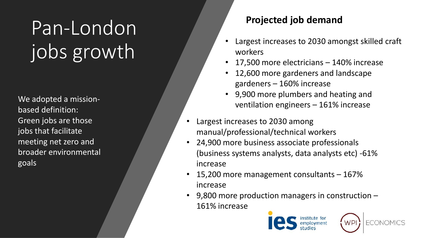## Pan-London jobs growth

We adopted a missionbased definition: Green jobs are those jobs that facilitate meeting net zero and broader environmental goals

#### **Projected job demand**

- Largest increases to 2030 amongst skilled craft workers
- 17,500 more electricians 140% increase
- 12,600 more gardeners and landscape gardeners – 160% increase
- 9,900 more plumbers and heating and ventilation engineers – 161% increase
- Largest increases to 2030 among manual/professional/technical workers
- 24,900 more business associate professionals (business systems analysts, data analysts etc) -61% increase
- 15,200 more management consultants 167% increase
- 9,800 more production managers in construction 161% increase



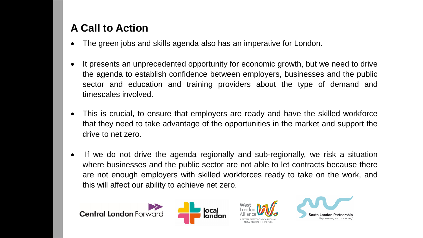### **A Call to Action**

- The green jobs and skills agenda also has an imperative for London.
- It presents an unprecedented opportunity for economic growth, but we need to drive the agenda to establish confidence between employers, businesses and the public sector and education and training providers about the type of demand and timescales involved.
- This is crucial, to ensure that employers are ready and have the skilled workforce that they need to take advantage of the opportunities in the market and support the drive to net zero.
- If we do not drive the agenda regionally and sub-regionally, we risk a situation where businesses and the public sector are not able to let contracts because there are not enough employers with skilled workforces ready to take on the work, and this will affect our ability to achieve net zero.





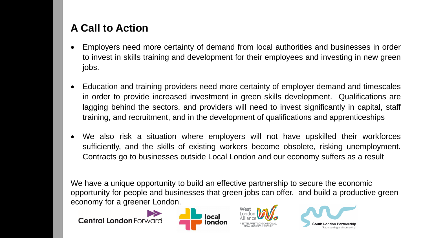### **A Call to Action**

- Employers need more certainty of demand from local authorities and businesses in order to invest in skills training and development for their employees and investing in new green jobs.
- Education and training providers need more certainty of employer demand and timescales in order to provide increased investment in green skills development. Qualifications are lagging behind the sectors, and providers will need to invest significantly in capital, staff training, and recruitment, and in the development of qualifications and apprenticeships
- We also risk a situation where employers will not have upskilled their workforces sufficiently, and the skills of existing workers become obsolete, risking unemployment. Contracts go to businesses outside Local London and our economy suffers as a result

We have a unique opportunity to build an effective partnership to secure the economic opportunity for people and businesses that green jobs can offer, and build a productive green economy for a greener London.

**Central London Forward**